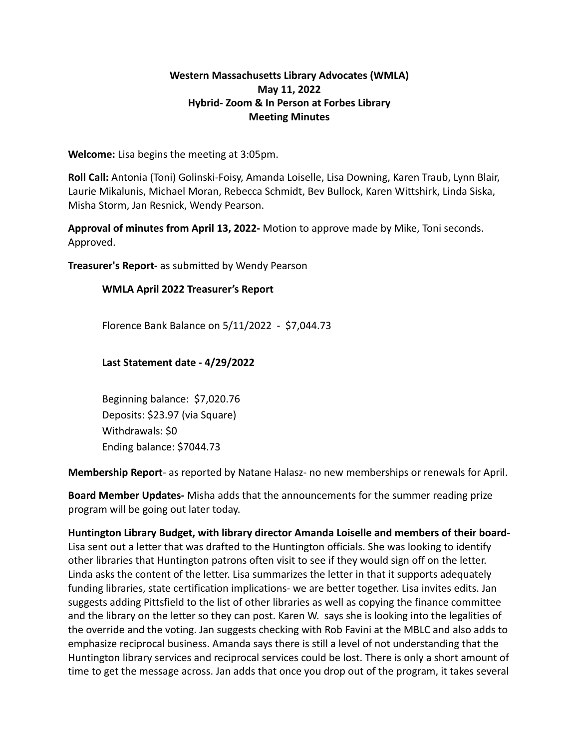## **Western Massachusetts Library Advocates (WMLA) May 11, 2022 Hybrid- Zoom & In Person at Forbes Library Meeting Minutes**

**Welcome:** Lisa begins the meeting at 3:05pm.

**Roll Call:** Antonia (Toni) Golinski-Foisy, Amanda Loiselle, Lisa Downing, Karen Traub, Lynn Blair, Laurie Mikalunis, Michael Moran, Rebecca Schmidt, Bev Bullock, Karen Wittshirk, Linda Siska, Misha Storm, Jan Resnick, Wendy Pearson.

**Approval of minutes from April 13, 2022-** Motion to approve made by Mike, Toni seconds. Approved.

**Treasurer's Report-** as submitted by Wendy Pearson

#### **WMLA April 2022 Treasurer's Report**

Florence Bank Balance on 5/11/2022 - \$7,044.73

#### **Last Statement date - 4/29/2022**

Beginning balance: \$7,020.76 Deposits: \$23.97 (via Square) Withdrawals: \$0 Ending balance: \$7044.73

**Membership Report**- as reported by Natane Halasz- no new memberships or renewals for April.

**Board Member Updates-** Misha adds that the announcements for the summer reading prize program will be going out later today.

**Huntington Library Budget, with library director Amanda Loiselle and members of their board-**Lisa sent out a letter that was drafted to the Huntington officials. She was looking to identify other libraries that Huntington patrons often visit to see if they would sign off on the letter. Linda asks the content of the letter. Lisa summarizes the letter in that it supports adequately funding libraries, state certification implications- we are better together. Lisa invites edits. Jan suggests adding Pittsfield to the list of other libraries as well as copying the finance committee and the library on the letter so they can post. Karen W. says she is looking into the legalities of the override and the voting. Jan suggests checking with Rob Favini at the MBLC and also adds to emphasize reciprocal business. Amanda says there is still a level of not understanding that the Huntington library services and reciprocal services could be lost. There is only a short amount of time to get the message across. Jan adds that once you drop out of the program, it takes several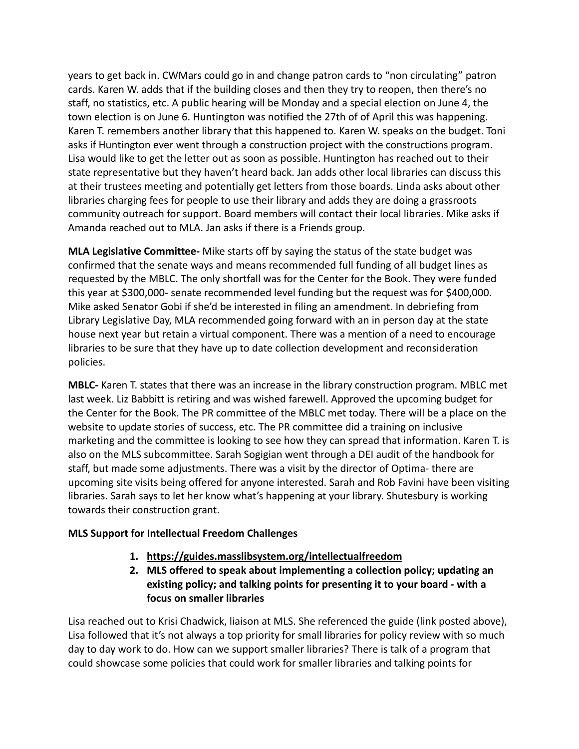years to get back in. CWMars could go in and change patron cards to "non circulating" patron cards. Karen W. adds that if the building closes and then they try to reopen, then there's no staff, no statistics, etc. A public hearing will be Monday and a special election on June 4, the town election is on June 6. Huntington was notified the 27th of of April this was happening. Karen T. remembers another library that this happened to. Karen W. speaks on the budget. Toni asks if Huntington ever went through a construction project with the constructions program. Lisa would like to get the letter out as soon as possible. Huntington has reached out to their state representative but they haven't heard back. Jan adds other local libraries can discuss this at their trustees meeting and potentially get letters from those boards. Linda asks about other libraries charging fees for people to use their library and adds they are doing a grassroots community outreach for support. Board members will contact their local libraries. Mike asks if Amanda reached out to MLA. Jan asks if there is a Friends group.

**MLA Legislative Committee-** Mike starts off by saying the status of the state budget was confirmed that the senate ways and means recommended full funding of all budget lines as requested by the MBLC. The only shortfall was for the Center for the Book. They were funded this year at \$300,000- senate recommended level funding but the request was for \$400,000. Mike asked Senator Gobi if she'd be interested in filing an amendment. In debriefing from Library Legislative Day, MLA recommended going forward with an in person day at the state house next year but retain a virtual component. There was a mention of a need to encourage libraries to be sure that they have up to date collection development and reconsideration policies.

**MBLC-** Karen T. states that there was an increase in the library construction program. MBLC met last week. Liz Babbitt is retiring and was wished farewell. Approved the upcoming budget for the Center for the Book. The PR committee of the MBLC met today. There will be a place on the website to update stories of success, etc. The PR committee did a training on inclusive marketing and the committee is looking to see how they can spread that information. Karen T. is also on the MLS subcommittee. Sarah Sogigian went through a DEI audit of the handbook for staff, but made some adjustments. There was a visit by the director of Optima- there are upcoming site visits being offered for anyone interested. Sarah and Rob Favini have been visiting libraries. Sarah says to let her know what's happening at your library. Shutesbury is working towards their construction grant.

# **MLS Support for Intellectual Freedom Challenges**

- **1. <https://guides.masslibsystem.org/intellectualfreedom>**
- **2. MLS offered to speak about implementing a collection policy; updating an existing policy; and talking points for presenting it to your board - with a focus on smaller libraries**

Lisa reached out to Krisi Chadwick, liaison at MLS. She referenced the guide (link posted above), Lisa followed that it's not always a top priority for small libraries for policy review with so much day to day work to do. How can we support smaller libraries? There is talk of a program that could showcase some policies that could work for smaller libraries and talking points for